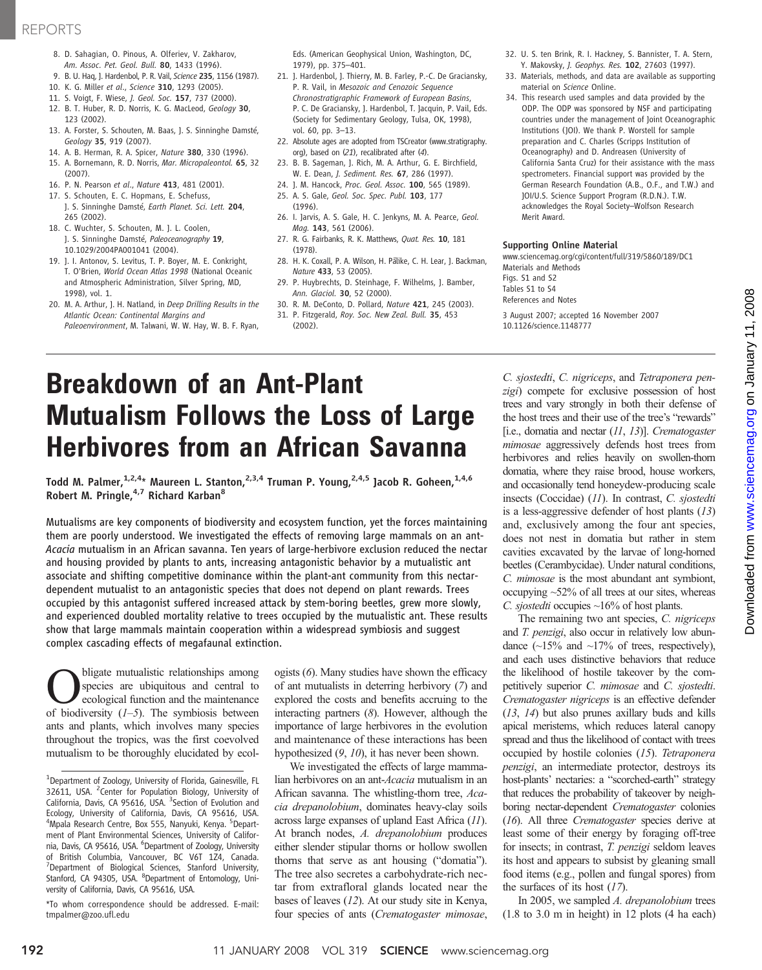## REPORTS

- 8. D. Sahagian, O. Pinous, A. Olferiev, V. Zakharov, Am. Assoc. Pet. Geol. Bull. 80, 1433 (1996).
- 9. B. U. Haq, J. Hardenbol, P. R. Vail, Science 235, 1156 (1987).
- 10. K. G. Miller et al., Science 310, 1293 (2005).
- 11. S. Voigt, F. Wiese, J. Geol. Soc. 157, 737 (2000).
- 12. B. T. Huber, R. D. Norris, K. G. MacLeod, Geology 30, 123 (2002).
- 13. A. Forster, S. Schouten, M. Baas, J. S. Sinninghe Damsté, Geology 35, 919 (2007).
- 14. A. B. Herman, R. A. Spicer, Nature 380, 330 (1996).
- 15. A. Bornemann, R. D. Norris, Mar. Micropaleontol. 65, 32 (2007).
- 16. P. N. Pearson et al., Nature 413, 481 (2001).
- 17. S. Schouten, E. C. Hopmans, E. Schefuss, J. S. Sinninghe Damsté, Earth Planet. Sci. Lett. 204, 265 (2002).
- 18. C. Wuchter, S. Schouten, M. J. L. Coolen, J. S. Sinninghe Damsté, Paleoceanography 19, 10.1029/2004PA001041 (2004).
- 19. J. I. Antonov, S. Levitus, T. P. Boyer, M. E. Conkright, T. O'Brien, World Ocean Atlas 1998 (National Oceanic and Atmospheric Administration, Silver Spring, MD, 1998), vol. 1.
- 20. M. A. Arthur, J. H. Natland, in Deep Drilling Results in the Atlantic Ocean: Continental Margins and Paleoenvironment, M. Talwani, W. W. Hay, W. B. F. Ryan,

Eds. (American Geophysical Union, Washington, DC, 1979), pp. 375–401.

- 21. J. Hardenbol, J. Thierry, M. B. Farley, P.-C. De Graciansky, P. R. Vail, in Mesozoic and Cenozoic Sequence Chronostratigraphic Framework of European Basins, P. C. De Graciansky, J. Hardenbol, T. Jacquin, P. Vail, Eds. (Society for Sedimentary Geology, Tulsa, OK, 1998), vol. 60, pp. 3–13.
- 22. Absolute ages are adopted from TSCreator (www.stratigraphy. org), based on (21), recalibrated after (4).
- 23. B. B. Sageman, J. Rich, M. A. Arthur, G. E. Birchfield, W. E. Dean, J. Sediment. Res. 67, 286 (1997).
- 24. J. M. Hancock, Proc. Geol. Assoc. 100, 565 (1989).
- 25. A. S. Gale, Geol. Soc. Spec. Publ. 103, 177 (1996).
- 26. I. Jarvis, A. S. Gale, H. C. Jenkyns, M. A. Pearce, Geol. Mag. 143, 561 (2006).
- 27. R. G. Fairbanks, R. K. Matthews, Quat. Res. 10, 181 (1978).
- 28. H. K. Coxall, P. A. Wilson, H. Pälike, C. H. Lear, J. Backman, Nature 433, 53 (2005).
- 29. P. Huybrechts, D. Steinhage, F. Wilhelms, J. Bamber, Ann. Glaciol. 30, 52 (2000).
- 30. R. M. DeConto, D. Pollard, Nature 421, 245 (2003).
- 31. P. Fitzgerald, Roy. Soc. New Zeal. Bull. 35, 453 (2002).
- 32. U. S. ten Brink, R. I. Hackney, S. Bannister, T. A. Stern, Y. Makovsky, J. Geophys. Res. 102, 27603 (1997).
- 33. Materials, methods, and data are available as supporting material on Science Online.
- 34. This research used samples and data provided by the ODP. The ODP was sponsored by NSF and participating countries under the management of Joint Oceanographic Institutions (JOI). We thank P. Worstell for sample preparation and C. Charles (Scripps Institution of Oceanography) and D. Andreasen (University of California Santa Cruz) for their assistance with the mass spectrometers. Financial support was provided by the German Research Foundation (A.B., O.F., and T.W.) and JOI/U.S. Science Support Program (R.D.N.). T.W. acknowledges the Royal Society–Wolfson Research Merit Award.

#### Supporting Online Material

www.sciencemag.org/cgi/content/full/319/5860/189/DC1 Materials and Methods Figs. S1 and S2 Tables S1 to S4

References and Notes

3 August 2007; accepted 16 November 2007 10.1126/science.1148777

# Breakdown of an Ant-Plant Mutualism Follows the Loss of Large Herbivores from an African Savanna

Todd M. Palmer,  $1,2,4*$  Maureen L. Stanton,  $2,3,4$  Truman P. Young,  $2,4,5$  Jacob R. Goheen,  $1,4,6$ Robert M. Pringle, $4.7$  Richard Karban $8$ 

Mutualisms are key components of biodiversity and ecosystem function, yet the forces maintaining them are poorly understood. We investigated the effects of removing large mammals on an ant-Acacia mutualism in an African savanna. Ten years of large-herbivore exclusion reduced the nectar and housing provided by plants to ants, increasing antagonistic behavior by a mutualistic ant associate and shifting competitive dominance within the plant-ant community from this nectardependent mutualist to an antagonistic species that does not depend on plant rewards. Trees occupied by this antagonist suffered increased attack by stem-boring beetles, grew more slowly, and experienced doubled mortality relative to trees occupied by the mutualistic ant. These results show that large mammals maintain cooperation within a widespread symbiosis and suggest complex cascading effects of megafaunal extinction.

**O**bligate mutualistic relationships among<br>species are ubiquitous and central to<br>ecological function and the maintenance<br>of biodiversity  $(l-5)$ . The symbiosis between species are ubiquitous and central to ecological function and the maintenance of biodiversity  $(1-5)$ . The symbiosis between ants and plants, which involves many species throughout the tropics, was the first coevolved mutualism to be thoroughly elucidated by ecol-

ogists (6). Many studies have shown the efficacy of ant mutualists in deterring herbivory (7) and explored the costs and benefits accruing to the interacting partners (8). However, although the importance of large herbivores in the evolution and maintenance of these interactions has been hypothesized (9, 10), it has never been shown.

We investigated the effects of large mammalian herbivores on an ant-Acacia mutualism in an African savanna. The whistling-thorn tree, Acacia drepanolobium, dominates heavy-clay soils across large expanses of upland East Africa (11). At branch nodes, A. drepanolobium produces either slender stipular thorns or hollow swollen thorns that serve as ant housing ("domatia"). The tree also secretes a carbohydrate-rich nectar from extrafloral glands located near the bases of leaves (12). At our study site in Kenya, four species of ants (Crematogaster mimosae, C. sjostedti, C. nigriceps, and Tetraponera penzigi) compete for exclusive possession of host trees and vary strongly in both their defense of the host trees and their use of the tree's "rewards" [i.e., domatia and nectar  $(11, 13)$ ]. Crematogaster mimosae aggressively defends host trees from herbivores and relies heavily on swollen-thorn domatia, where they raise brood, house workers, and occasionally tend honeydew-producing scale insects (Coccidae) (11). In contrast, C. sjostedti is a less-aggressive defender of host plants  $(13)$ and, exclusively among the four ant species, does not nest in domatia but rather in stem cavities excavated by the larvae of long-horned beetles (Cerambycidae). Under natural conditions, C. mimosae is the most abundant ant symbiont, occupying ~52% of all trees at our sites, whereas C. sjostedti occupies  $\sim$ 16% of host plants.

The remaining two ant species, C. nigriceps and T. penzigi, also occur in relatively low abundance  $(\sim] 5\%$  and  $\sim] 7\%$  of trees, respectively), and each uses distinctive behaviors that reduce the likelihood of hostile takeover by the competitively superior C. mimosae and C. sjostedti. Crematogaster nigriceps is an effective defender (13, 14) but also prunes axillary buds and kills apical meristems, which reduces lateral canopy spread and thus the likelihood of contact with trees occupied by hostile colonies (15). Tetraponera penzigi, an intermediate protector, destroys its host-plants' nectaries: a "scorched-earth" strategy that reduces the probability of takeover by neighboring nectar-dependent Crematogaster colonies (16). All three Crematogaster species derive at least some of their energy by foraging off-tree for insects; in contrast, T. penzigi seldom leaves its host and appears to subsist by gleaning small food items (e.g., pollen and fungal spores) from the surfaces of its host  $(17)$ .

In 2005, we sampled A. drepanolobium trees (1.8 to 3.0 m in height) in 12 plots (4 ha each)

<sup>&</sup>lt;sup>1</sup>Department of Zoology, University of Florida, Gainesville, FL 32611, USA. <sup>2</sup>Center for Population Biology, University of California, Davis, CA 95616, USA. <sup>3</sup> Section of Evolution and Ecology, University of California, Davis, CA 95616, USA. <sup>4</sup>Mpala Research Centre, Box 555, Nanyuki, Kenya. <sup>5</sup>Department of Plant Environmental Sciences, University of California, Davis, CA 95616, USA. <sup>6</sup>Department of Zoology, University of British Columbia, Vancouver, BC V6T 1Z4, Canada. <sup>7</sup>Department of Biological Sciences, Stanford University, Stanford, CA 94305, USA. <sup>8</sup>Department of Entomology, University of California, Davis, CA 95616, USA.

<sup>\*</sup>To whom correspondence should be addressed. E-mail: tmpalmer@zoo.ufl.edu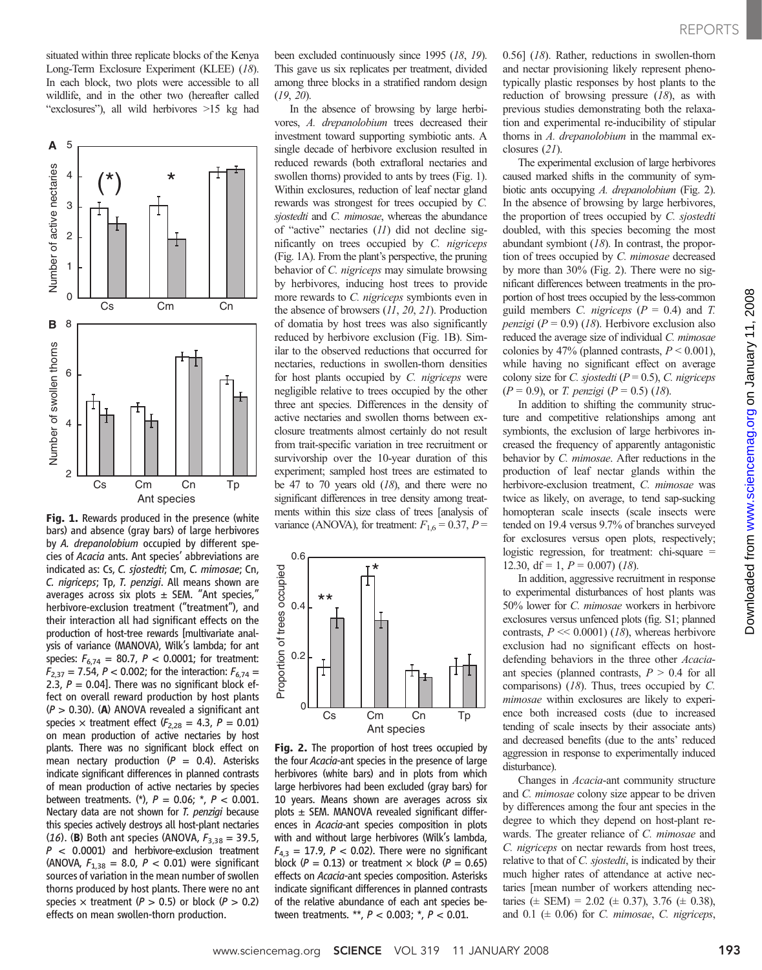situated within three replicate blocks of the Kenya Long-Term Exclosure Experiment (KLEE) (18). In each block, two plots were accessible to all wildlife, and in the other two (hereafter called "exclosures"), all wild herbivores >15 kg had



Fig. 1. Rewards produced in the presence (white bars) and absence (gray bars) of large herbivores by A. drepanolobium occupied by different species of Acacia ants. Ant species' abbreviations are indicated as: Cs, C. sjostedti; Cm, C. mimosae; Cn, C. nigriceps; Tp, T. penzigi. All means shown are averages across six plots  $\pm$  SEM. "Ant species," herbivore-exclusion treatment ("treatment"), and their interaction all had significant effects on the production of host-tree rewards [multivariate analysis of variance (MANOVA), Wilk's lambda; for ant species:  $F_{6,74} = 80.7$ ,  $P < 0.0001$ ; for treatment:  $F_{2,37} = 7.54$ ,  $P < 0.002$ ; for the interaction:  $F_{6,74} =$ 2.3,  $P = 0.04$ . There was no significant block effect on overall reward production by host plants  $(P > 0.30)$ . (A) ANOVA revealed a significant ant species  $\times$  treatment effect ( $F_{2,28} = 4.3$ ,  $P = 0.01$ ) on mean production of active nectaries by host plants. There was no significant block effect on mean nectary production ( $P = 0.4$ ). Asterisks indicate significant differences in planned contrasts of mean production of active nectaries by species between treatments. (\*),  $P = 0.06$ ; \*,  $P < 0.001$ . Nectary data are not shown for T. penzigi because this species actively destroys all host-plant nectaries (16). (**B**) Both ant species (ANOVA,  $F_{3,38} = 39.5$ ,  $P < 0.0001$ ) and herbivore-exclusion treatment (ANOVA,  $F_{1,38} = 8.0$ ,  $P < 0.01$ ) were significant sources of variation in the mean number of swollen thorns produced by host plants. There were no ant species  $\times$  treatment (P > 0.5) or block (P > 0.2) effects on mean swollen-thorn production.

been excluded continuously since 1995 (18, 19). This gave us six replicates per treatment, divided among three blocks in a stratified random design (19, 20).

In the absence of browsing by large herbivores, A. drepanolobium trees decreased their investment toward supporting symbiotic ants. A single decade of herbivore exclusion resulted in reduced rewards (both extrafloral nectaries and swollen thorns) provided to ants by trees (Fig. 1). Within exclosures, reduction of leaf nectar gland rewards was strongest for trees occupied by C. sjostedti and C. mimosae, whereas the abundance of "active" nectaries (11) did not decline significantly on trees occupied by C. nigriceps (Fig. 1A). From the plant's perspective, the pruning behavior of *C. nigriceps* may simulate browsing by herbivores, inducing host trees to provide more rewards to C. nigriceps symbionts even in the absence of browsers (11, 20, 21). Production of domatia by host trees was also significantly reduced by herbivore exclusion (Fig. 1B). Similar to the observed reductions that occurred for nectaries, reductions in swollen-thorn densities for host plants occupied by C. nigriceps were negligible relative to trees occupied by the other three ant species. Differences in the density of active nectaries and swollen thorns between exclosure treatments almost certainly do not result from trait-specific variation in tree recruitment or survivorship over the 10-year duration of this experiment; sampled host trees are estimated to be 47 to 70 years old  $(18)$ , and there were no significant differences in tree density among treatments within this size class of trees [analysis of variance (ANOVA), for treatment:  $F_{1,6} = 0.37$ ,  $P =$ 



Fig. 2. The proportion of host trees occupied by the four Acacia-ant species in the presence of large herbivores (white bars) and in plots from which large herbivores had been excluded (gray bars) for 10 years. Means shown are averages across six plots  $\pm$  SEM. MANOVA revealed significant differences in Acacia-ant species composition in plots with and without large herbivores (Wilk's lambda,  $F_{4,3} = 17.9$ ,  $P < 0.02$ ). There were no significant block ( $P = 0.13$ ) or treatment  $\times$  block ( $P = 0.65$ ) effects on Acacia-ant species composition. Asterisks indicate significant differences in planned contrasts of the relative abundance of each ant species between treatments. \*\*, P < 0.003; \*, P < 0.01.

0.56] (18). Rather, reductions in swollen-thorn and nectar provisioning likely represent phenotypically plastic responses by host plants to the reduction of browsing pressure  $(18)$ , as with previous studies demonstrating both the relaxation and experimental re-inducibility of stipular thorns in A. drepanolobium in the mammal exclosures (21).

The experimental exclusion of large herbivores caused marked shifts in the community of symbiotic ants occupying A. drepanolobium (Fig. 2). In the absence of browsing by large herbivores, the proportion of trees occupied by C. sjostedti doubled, with this species becoming the most abundant symbiont (18). In contrast, the proportion of trees occupied by C. mimosae decreased by more than 30% (Fig. 2). There were no significant differences between treatments in the proportion of host trees occupied by the less-common guild members C. *nigriceps* ( $P = 0.4$ ) and T. *penzigi* ( $P = 0.9$ ) (18). Herbivore exclusion also reduced the average size of individual C. mimosae colonies by 47% (planned contrasts,  $P < 0.001$ ), while having no significant effect on average colony size for C. sjostedti ( $P = 0.5$ ), C. nigriceps  $(P = 0.9)$ , or *T. penzigi*  $(P = 0.5)$  (18).

In addition to shifting the community structure and competitive relationships among ant symbionts, the exclusion of large herbivores increased the frequency of apparently antagonistic behavior by C. mimosae. After reductions in the production of leaf nectar glands within the herbivore-exclusion treatment, C. mimosae was twice as likely, on average, to tend sap-sucking homopteran scale insects (scale insects were tended on 19.4 versus 9.7% of branches surveyed for exclosures versus open plots, respectively; logistic regression, for treatment: chi-square = 12.30, df = 1,  $P = 0.007$ ) (18).

In addition, aggressive recruitment in response to experimental disturbances of host plants was 50% lower for C. mimosae workers in herbivore exclosures versus unfenced plots (fig. S1; planned contrasts,  $P \ll 0.0001$  (18), whereas herbivore exclusion had no significant effects on hostdefending behaviors in the three other Acaciaant species (planned contrasts,  $P > 0.4$  for all comparisons)  $(18)$ . Thus, trees occupied by C. mimosae within exclosures are likely to experience both increased costs (due to increased tending of scale insects by their associate ants) and decreased benefits (due to the ants' reduced aggression in response to experimentally induced disturbance).

Changes in Acacia-ant community structure and C. mimosae colony size appear to be driven by differences among the four ant species in the degree to which they depend on host-plant rewards. The greater reliance of C. mimosae and C. nigriceps on nectar rewards from host trees, relative to that of C. sjostedti, is indicated by their much higher rates of attendance at active nectaries [mean number of workers attending nectaries ( $\pm$  SEM) = 2.02 ( $\pm$  0.37), 3.76 ( $\pm$  0.38), and 0.1 ( $\pm$  0.06) for *C. mimosae*, *C. nigriceps*,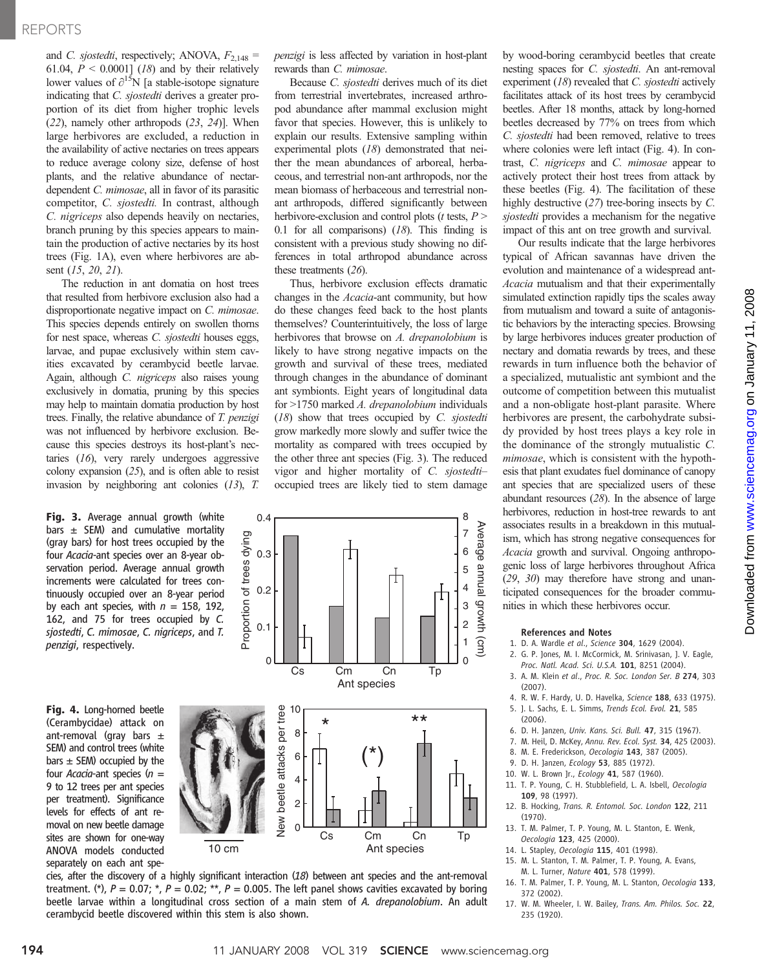### REPORTS

and *C. sjostedti*, respectively; ANOVA,  $F_{2,148}$  = 61.04,  $P < 0.0001$ ] (18) and by their relatively lower values of  $\partial^{15}N$  [a stable-isotope signature indicating that C. sjostedti derives a greater proportion of its diet from higher trophic levels (22), namely other arthropods (23, 24)]. When large herbivores are excluded, a reduction in the availability of active nectaries on trees appears to reduce average colony size, defense of host plants, and the relative abundance of nectardependent C. mimosae, all in favor of its parasitic competitor, C. sjostedti. In contrast, although C. nigriceps also depends heavily on nectaries, branch pruning by this species appears to maintain the production of active nectaries by its host trees (Fig. 1A), even where herbivores are absent (15, 20, 21).

The reduction in ant domatia on host trees that resulted from herbivore exclusion also had a disproportionate negative impact on C. mimosae. This species depends entirely on swollen thorns for nest space, whereas C. sjostedti houses eggs, larvae, and pupae exclusively within stem cavities excavated by cerambycid beetle larvae. Again, although C. nigriceps also raises young exclusively in domatia, pruning by this species may help to maintain domatia production by host trees. Finally, the relative abundance of T. penzigi was not influenced by herbivore exclusion. Because this species destroys its host-plant's nectaries (16), very rarely undergoes aggressive colony expansion  $(25)$ , and is often able to resist invasion by neighboring ant colonies (13), T.

Fig. 3. Average annual growth (white bars  $\pm$  SEM) and cumulative mortality (gray bars) for host trees occupied by the four Acacia-ant species over an 8-year observation period. Average annual growth increments were calculated for trees continuously occupied over an 8-year period by each ant species, with  $n = 158$ , 192, 162, and 75 for trees occupied by C. sjostedti, C. mimosae, C. nigriceps, and T. penzigi, respectively.

Fig. 4. Long-horned beetle (Cerambycidae) attack on ant-removal (gray bars  $\pm$ SEM) and control trees (white  $bar s$   $\pm$  SEM) occupied by the four Acacia-ant species  $(n =$ 9 to 12 trees per ant species per treatment). Significance levels for effects of ant removal on new beetle damage sites are shown for one-way ANOVA models conducted separately on each ant spe-



0.4

penzigi is less affected by variation in host-plant rewards than C. mimosae.

Because C. sjostedti derives much of its diet from terrestrial invertebrates, increased arthropod abundance after mammal exclusion might favor that species. However, this is unlikely to explain our results. Extensive sampling within experimental plots (18) demonstrated that neither the mean abundances of arboreal, herbaceous, and terrestrial non-ant arthropods, nor the mean biomass of herbaceous and terrestrial nonant arthropods, differed significantly between herbivore-exclusion and control plots ( $t$  tests,  $P$  > 0.1 for all comparisons)  $(18)$ . This finding is consistent with a previous study showing no differences in total arthropod abundance across these treatments (26).

Thus, herbivore exclusion effects dramatic changes in the Acacia-ant community, but how do these changes feed back to the host plants themselves? Counterintuitively, the loss of large herbivores that browse on A. drepanolobium is likely to have strong negative impacts on the growth and survival of these trees, mediated through changes in the abundance of dominant ant symbionts. Eight years of longitudinal data for >1750 marked A. drepanolobium individuals (18) show that trees occupied by C. sjostedti grow markedly more slowly and suffer twice the mortality as compared with trees occupied by the other three ant species (Fig. 3). The reduced vigor and higher mortality of C. sjostedti– occupied trees are likely tied to stem damage

8



by wood-boring cerambycid beetles that create nesting spaces for C. sjostedti. An ant-removal experiment  $(18)$  revealed that *C. sjostedti* actively facilitates attack of its host trees by cerambycid beetles. After 18 months, attack by long-horned beetles decreased by 77% on trees from which C. sjostedti had been removed, relative to trees where colonies were left intact (Fig. 4). In contrast, C. nigriceps and C. mimosae appear to actively protect their host trees from attack by these beetles (Fig. 4). The facilitation of these highly destructive (27) tree-boring insects by C. sjostedti provides a mechanism for the negative impact of this ant on tree growth and survival.

Our results indicate that the large herbivores typical of African savannas have driven the evolution and maintenance of a widespread ant-Acacia mutualism and that their experimentally simulated extinction rapidly tips the scales away from mutualism and toward a suite of antagonistic behaviors by the interacting species. Browsing by large herbivores induces greater production of nectary and domatia rewards by trees, and these rewards in turn influence both the behavior of a specialized, mutualistic ant symbiont and the outcome of competition between this mutualist and a non-obligate host-plant parasite. Where herbivores are present, the carbohydrate subsidy provided by host trees plays a key role in the dominance of the strongly mutualistic C. mimosae, which is consistent with the hypothesis that plant exudates fuel dominance of canopy ant species that are specialized users of these abundant resources (28). In the absence of large herbivores, reduction in host-tree rewards to ant associates results in a breakdown in this mutualism, which has strong negative consequences for Acacia growth and survival. Ongoing anthropogenic loss of large herbivores throughout Africa (29, 30) may therefore have strong and unanticipated consequences for the broader communities in which these herbivores occur.

#### References and Notes

- 1. D. A. Wardle et al., Science 304, 1629 (2004).
- 2. G. P. Jones, M. I. McCormick, M. Srinivasan, J. V. Eagle, Proc. Natl. Acad. Sci. U.S.A. 101, 8251 (2004).
- 3. A. M. Klein et al., Proc. R. Soc. London Ser. B 274, 303 (2007).
- 4. R. W. F. Hardy, U. D. Havelka, Science 188, 633 (1975).
- 5. J. L. Sachs, E. L. Simms, Trends Ecol. Evol. 21, 585  $(2006)$
- 6. D. H. Janzen, Univ. Kans. Sci. Bull. 47, 315 (1967).
- 7. M. Heil, D. McKey, Annu. Rev. Ecol. Syst. 34, 425 (2003).
- 8. M. E. Frederickson, Oecologia 143, 387 (2005).
- 9. D. H. Janzen, Ecology 53, 885 (1972).
- 10. W. L. Brown Jr., Ecology 41, 587 (1960).
- 11. T. P. Young, C. H. Stubblefield, L. A. Isbell, Oecologia 109, 98 (1997).
- 12. B. Hocking, Trans. R. Entomol. Soc. London 122, 211 (1970).
- 13. T. M. Palmer, T. P. Young, M. L. Stanton, E. Wenk, Oecologia 123, 425 (2000).
- 14. L. Stapley, Oecologia 115, 401 (1998).
- 15. M. L. Stanton, T. M. Palmer, T. P. Young, A. Evans, M. L. Turner, Nature 401, 578 (1999).
- 16. T. M. Palmer, T. P. Young, M. L. Stanton, Oecologia 133, 372 (2002).
- 17. W. M. Wheeler, I. W. Bailey, Trans. Am. Philos. Soc. 22, 235 (1920).